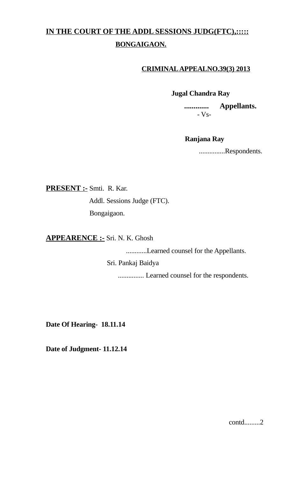## **IN THE COURT OF THE ADDL SESSIONS JUDG(FTC),::::: BONGAIGAON.**

## **CRIMINAL APPEALNO.39(3) 2013**

 **Jugal Chandra Ray**

 **............. Appellants.** - Vs-

## **Ranjana Ray**

...............Respondents.

**PRESENT :-** Smti. R. Kar.

 Addl. Sessions Judge (FTC). Bongaigaon.

**APPEARENCE :-** Sri. N. K. Ghosh

............Learned counsel for the Appellants.

Sri. Pankaj Baidya

............... Learned counsel for the respondents.

**Date Of Hearing- 18.11.14**

**Date of Judgment- 11.12.14**

contd.........2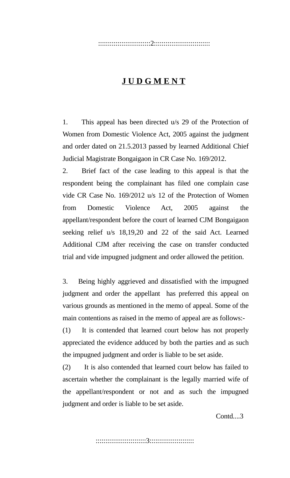:::::::::::::::::::::::::::2:::::::::::::::::::::::::::::

## **J U D G M E N T**

1. This appeal has been directed u/s 29 of the Protection of Women from Domestic Violence Act, 2005 against the judgment and order dated on 21.5.2013 passed by learned Additional Chief Judicial Magistrate Bongaigaon in CR Case No. 169/2012.

2. Brief fact of the case leading to this appeal is that the respondent being the complainant has filed one complain case vide CR Case No. 169/2012 u/s 12 of the Protection of Women from Domestic Violence Act, 2005 against the appellant/respondent before the court of learned CJM Bongaigaon seeking relief u/s 18,19,20 and 22 of the said Act. Learned Additional CJM after receiving the case on transfer conducted trial and vide impugned judgment and order allowed the petition.

3. Being highly aggrieved and dissatisfied with the impugned judgment and order the appellant has preferred this appeal on various grounds as mentioned in the memo of appeal. Some of the main contentions as raised in the memo of appeal are as follows:-

(1) It is contended that learned court below has not properly appreciated the evidence adduced by both the parties and as such the impugned judgment and order is liable to be set aside.

(2) It is also contended that learned court below has failed to ascertain whether the complainant is the legally married wife of the appellant/respondent or not and as such the impugned judgment and order is liable to be set aside.

Contd....3

::::::::::::::::::::::::::3:::::::::::::::::::::::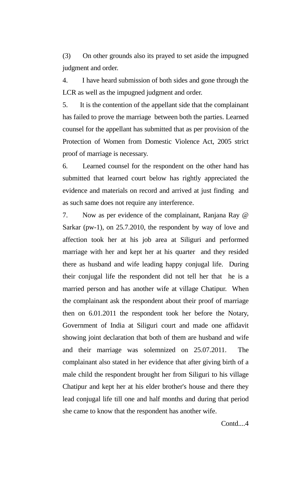(3) On other grounds also its prayed to set aside the impugned judgment and order.

4. I have heard submission of both sides and gone through the LCR as well as the impugned judgment and order.

5. It is the contention of the appellant side that the complainant has failed to prove the marriage between both the parties. Learned counsel for the appellant has submitted that as per provision of the Protection of Women from Domestic Violence Act, 2005 strict proof of marriage is necessary.

6. Learned counsel for the respondent on the other hand has submitted that learned court below has rightly appreciated the evidence and materials on record and arrived at just finding and as such same does not require any interference.

7. Now as per evidence of the complainant, Ranjana Ray  $\omega$ Sarkar (pw-1), on 25.7.2010, the respondent by way of love and affection took her at his job area at Siliguri and performed marriage with her and kept her at his quarter and they resided there as husband and wife leading happy conjugal life. During their conjugal life the respondent did not tell her that he is a married person and has another wife at village Chatipur. When the complainant ask the respondent about their proof of marriage then on 6.01.2011 the respondent took her before the Notary, Government of India at Siliguri court and made one affidavit showing joint declaration that both of them are husband and wife and their marriage was solemnized on 25.07.2011. The complainant also stated in her evidence that after giving birth of a male child the respondent brought her from Siliguri to his village Chatipur and kept her at his elder brother's house and there they lead conjugal life till one and half months and during that period she came to know that the respondent has another wife.

Contd....4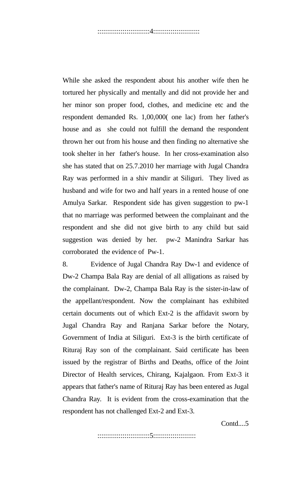While she asked the respondent about his another wife then he tortured her physically and mentally and did not provide her and her minor son proper food, clothes, and medicine etc and the respondent demanded Rs. 1,00,000( one lac) from her father's house and as she could not fulfill the demand the respondent thrown her out from his house and then finding no alternative she took shelter in her father's house. In her cross-examination also she has stated that on 25.7.2010 her marriage with Jugal Chandra Ray was performed in a shiv mandir at Siliguri. They lived as husband and wife for two and half years in a rented house of one Amulya Sarkar. Respondent side has given suggestion to pw-1 that no marriage was performed between the complainant and the respondent and she did not give birth to any child but said suggestion was denied by her. pw-2 Manindra Sarkar has corroborated the evidence of Pw-1.

8. Evidence of Jugal Chandra Ray Dw-1 and evidence of Dw-2 Champa Bala Ray are denial of all alligations as raised by the complainant. Dw-2, Champa Bala Ray is the sister-in-law of the appellant/respondent. Now the complainant has exhibited certain documents out of which Ext-2 is the affidavit sworn by Jugal Chandra Ray and Ranjana Sarkar before the Notary, Government of India at Siliguri. Ext-3 is the birth certificate of Rituraj Ray son of the complainant. Said certificate has been issued by the registrar of Births and Deaths, office of the Joint Director of Health services, Chirang, Kajalgaon. From Ext-3 it appears that father's name of Rituraj Ray has been entered as Jugal Chandra Ray. It is evident from the cross-examination that the respondent has not challenged Ext-2 and Ext-3.

Contd....5

:::::::::::::::::::::::::::5::::::::::::::::::::::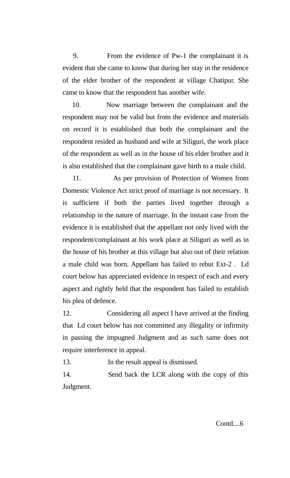9. From the evidence of Pw-1 the complainant it is evident that she came to know that during her stay in the residence of the elder brother of the respondent at village Chatipur. She came to know that the respondent has another wife.

 10. Now marriage between the complainant and the respondent may not be valid but from the evidence and materials on record it is established that both the complainant and the respondent resided as husband and wife at Siliguri, the work place of the respondent as well as in the house of his elder brother and it is also established that the complainant gave birth to a male child.

 11. As per provision of Protection of Women from Domestic Violence Act strict proof of marriage is not necessary. It is sufficient if both the parties lived together through a relationship in the nature of marriage. In the instant case from the evidence it is established that the appellant not only lived with the respondent/complainant at his work place at Siliguri as well as in the house of his brother at this village but also out of their relation a male child was born. Appellant has failed to rebut Ext-2 . Ld court below has appreciated evidence in respect of each and every aspect and rightly held that the respondent has failed to establish his plea of defence.

12. Considering all aspect I have arrived at the finding that Ld court below has not committed any illegality or infirmity in passing the impugned Judgment and as such same does not require interference in appeal.

13. In the result appeal is dismissed.

14. Send back the LCR along with the copy of this Judgment.

Contd....6